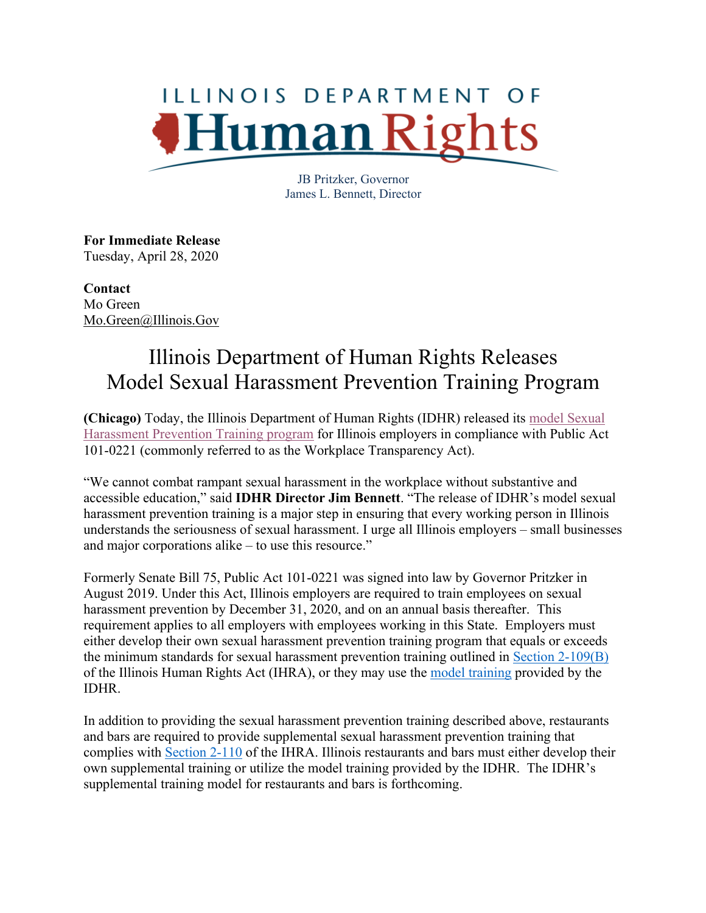## ILLINOIS DEPARTMENT OF Human R

JB Pritzker, Governor James L. Bennett, Director

**For Immediate Release** Tuesday, April 28, 2020

**Contact** Mo Green Mo.Green@Illinois.Gov

## Illinois Department of Human Rights Releases Model Sexual Harassment Prevention Training Program

**(Chicago)** Today, the Illinois Department of Human Rights (IDHR) released its model Sexual Harassment Prevention Training program for Illinois employers in compliance with Public Act 101-0221 (commonly referred to as the Workplace Transparency Act).

"We cannot combat rampant sexual harassment in the workplace without substantive and accessible education," said **IDHR Director Jim Bennett**. "The release of IDHR's model sexual harassment prevention training is a major step in ensuring that every working person in Illinois understands the seriousness of sexual harassment. I urge all Illinois employers – small businesses and major corporations alike – to use this resource."

Formerly Senate Bill 75, Public Act 101-0221 was signed into law by Governor Pritzker in August 2019. Under this Act, Illinois employers are required to train employees on sexual harassment prevention by December 31, 2020, and on an annual basis thereafter. This requirement applies to all employers with employees working in this State. Employers must either develop their own sexual harassment prevention training program that equals or exceeds the minimum standards for sexual harassment prevention training outlined in Section 2-109(B) of the Illinois Human Rights Act (IHRA), or they may use the model training provided by the IDHR.

In addition to providing the sexual harassment prevention training described above, restaurants and bars are required to provide supplemental sexual harassment prevention training that complies with Section 2-110 of the IHRA. Illinois restaurants and bars must either develop their own supplemental training or utilize the model training provided by the IDHR. The IDHR's supplemental training model for restaurants and bars is forthcoming.